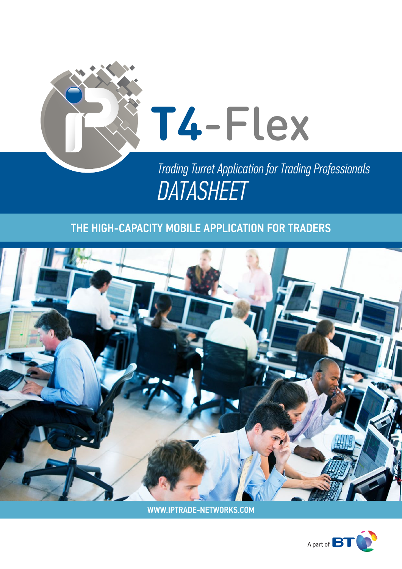

# **T4**-Flex

*Trading Turret Application for Trading Professionals DATASHEET*

# THE HIGH-CAPACITY MOBILE APPLICATION FOR TRADERS



WWW.IPTRADE-NETWORKS.COM

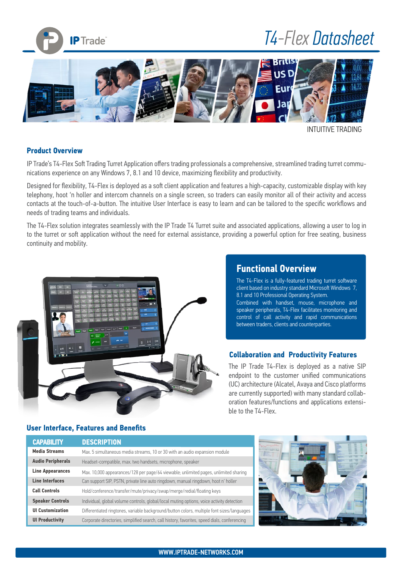

# *T4-Flex Datasheet*



INTUITIVE TRADING

#### **Product Overview**

IP Trade's T4-Flex Soft Trading Turret Application offers trading professionals a comprehensive, streamlined trading turret communications experience on any Windows 7, 8.1 and 10 device, maximizing flexibility and productivity.

Designed for flexibility, T4-Flex is deployed as a soft client application and features a high-capacity, customizable display with key telephony, hoot 'n holler and intercom channels on a single screen, so traders can easily monitor all of their activity and access contacts at the touch-of-a-button. The intuitive User Interface is easy to learn and can be tailored to the specific workflows and needs of trading teams and individuals.

The T4-Flex solution integrates seamlessly with the IP Trade T4 Turret suite and associated applications, allowing a user to log in to the turret or soft application without the need for external assistance, providing a powerful option for free seating, business continuity and mobility.



#### **Functional Overview**

The T4-Flex is a fully-featured trading turret software client based on industry standard Microsoft Windows 7, 8.1 and 10 Professional Operating System. Combined with handset, mouse, microphone and speaker peripherals, T4-Flex facilitates monitoring and control of call activity and rapid communications between traders, clients and counterparties.

#### **Collaboration and Productivity Features**

The IP Trade T4-Flex is deployed as a native SIP endpoint to the customer unified communications (UC) architecture (Alcatel, Avaya and Cisco platforms are currently supported) with many standard collaboration features/functions and applications extensible to the T4-Flex.

#### **User Interface, Features and Benefits**

| <b>CAPABILITY</b>        | <b>DESCRIPTION</b>                                                                           |
|--------------------------|----------------------------------------------------------------------------------------------|
| <b>Media Streams</b>     | Max. 5 simultaneous media streams, 10 or 30 with an audio expansion module                   |
| <b>Audio Peripherals</b> | Headset-compatible, max. two handsets, microphone, speaker                                   |
| <b>Line Appearances</b>  | Max. 10,000 appearances/128 per page/64 viewable; unlimited pages, unlimited sharing         |
| <b>Line Interfaces</b>   | Can support SIP, PSTN, private line auto ringdown, manual ringdown, hoot n' holler           |
| <b>Call Controls</b>     | Hold/conference/transfer/mute/privacy/swap/merge/redial/floating keys                        |
| <b>Speaker Controls</b>  | Individual, global volume controls, global/local muting options, voice activity detection    |
| <b>UI Customization</b>  | Differentiated ringtones, variable background/button colors, multiple font sizes/languages   |
| <b>UI Productivity</b>   | Corporate directories, simplified search, call history, favorites, speed dials, conferencing |

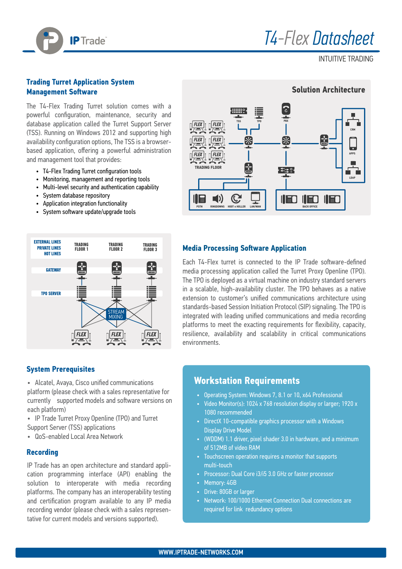

INTUITIVE TRADING

#### **Trading Turret Application System Management Software**

The T4-Flex Trading Turret solution comes with a powerful configuration, maintenance, security and database application called the Turret Support Server (TSS). Running on Windows 2012 and supporting high availability configuration options, The TSS is a browserbased application, offering a powerful administration and management tool that provides:

- T4-Flex Trading Turret configuration tools
- Monitoring, management and reporting tools
- Multi-level security and authentication capability
- System database repository
- Application integration functionality
- System software update/upgrade tools



#### **System Prerequisites**

- Alcatel, Avaya, Cisco unified communications platform (please check with a sales representative for currently supported models and software versions on each platform)
- IP Trade Turret Proxy Openline (TPO) and Turret Support Server (TSS) applications
- QoS-enabled Local Area Network

#### **Recording**

IP Trade has an open architecture and standard application programming interface (API) enabling the solution to interoperate with media recording platforms. The company has an interoperability testing and certification program available to any IP media recording vendor (please check with a sales representative for current models and versions supported).



#### **Media Processing Software Application**

Each T4-Flex turret is connected to the IP Trade software-defined media processing application called the Turret Proxy Openline (TPO). The TPO is deployed as a virtual machine on industry standard servers in a scalable, high-availability cluster. The TPO behaves as a native extension to customer's unified communications architecture using standards-based Session Initiation Protocol (SIP) signaling. The TPO is integrated with leading unified communications and media recording platforms to meet the exacting requirements for flexibility, capacity, resilience, availability and scalability in critical communications environments.

#### **Workstation Requirements**

- Operating System: Windows 7, 8.1 or 10, x64 Professional
- Video Monitor(s): 1024 x 768 resolution display or larger; 1920 x 1080 recommended
- DirectX 10-compatible graphics processor with a Windows Display Drive Model
- (WDDM) 1.1 driver, pixel shader 3.0 in hardware, and a minimum of 512MB of video RAM
- Touchscreen operation requires a monitor that supports multi-touch
- Processor: Dual Core i3/i5 3.0 GHz or faster processor
- Memory: 4GB
- Drive: 80GB or larger
- Network: 100/1000 Ethernet Connection Dual connections are required for link redundancy options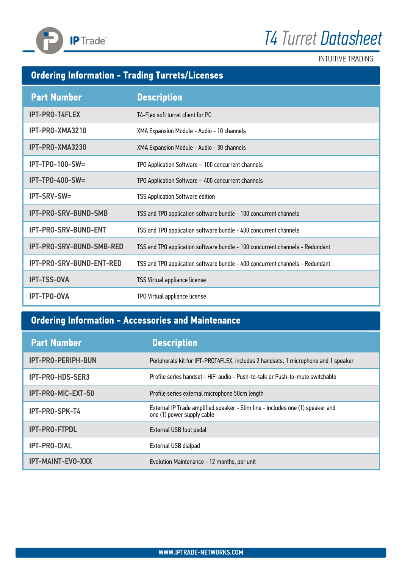



## **Ordering Information - Trading Turrets/Licenses**

**IP** Trade

| <b>Part Number</b>          | <b>Description</b>                                                            |
|-----------------------------|-------------------------------------------------------------------------------|
| <b>IPT-PRO-T4FLEX</b>       | T4-Flex soft turret client for PC                                             |
| IPT-PRO-XMA3210             | XMA Expansion Module - Audio - 10 channels                                    |
| IPT-PRO-XMA3230             | XMA Expansion Module - Audio - 30 channels                                    |
| $IPT-TPO-100-SW=$           | TPO Application Software - 100 concurrent channels                            |
| $IPT-TPO-400-SW=$           | TPO Application Software - 400 concurrent channels                            |
| IPT-SRV-SW=                 | <b>TSS Application Software edition</b>                                       |
| IPT-PRO-SRV-BUND-SMB        | TSS and TPO application software bundle - 100 concurrent channels             |
| <b>IPT-PRO-SRV-BUND-ENT</b> | TSS and TPO application software bundle - 400 concurrent channels             |
| IPT-PRO-SRV-BUND-SMB-RED    | TSS and TPO application software bundle - 100 concurrent channels - Redundant |
| IPT-PRO-SRV-BUND-ENT-RED    | TSS and TPO application software bundle - 400 concurrent channels - Redundant |
| <b>IPT-TSS-OVA</b>          | TSS Virtual appliance license                                                 |
| <b>IPT-TPO-OVA</b>          | TPO Virtual appliance license                                                 |

## **Ordering Information - Accessories and Maintenance**

| <b>Part Number</b>        | <b>Description</b>                                                                                           |
|---------------------------|--------------------------------------------------------------------------------------------------------------|
| <b>IPT-PRO-PERIPH-BUN</b> | Peripherals kit for IPT-PROT4FLEX, includes 2 handsets, 1 microphone and 1 speaker                           |
| IPT-PRO-HDS-SER3          | Profile series handset - HiFi audio - Push-to-talk or Push-to-mute switchable                                |
| IPT-PRO-MIC-EXT-50        | Profile series external microphone 50cm length                                                               |
| IPT-PRO-SPK-T4            | External IP Trade amplified speaker - Slim line - includes one (1) speaker and<br>one (1) power supply cable |
| <b>IPT-PRO-FTPDL</b>      | <b>External USB foot pedal</b>                                                                               |
| <b>IPT-PRO-DIAL</b>       | External USB dialpad                                                                                         |
| <b>IPT-MAINT-EVO-XXX</b>  | Evolution Maintenance - 12 months, per unit                                                                  |